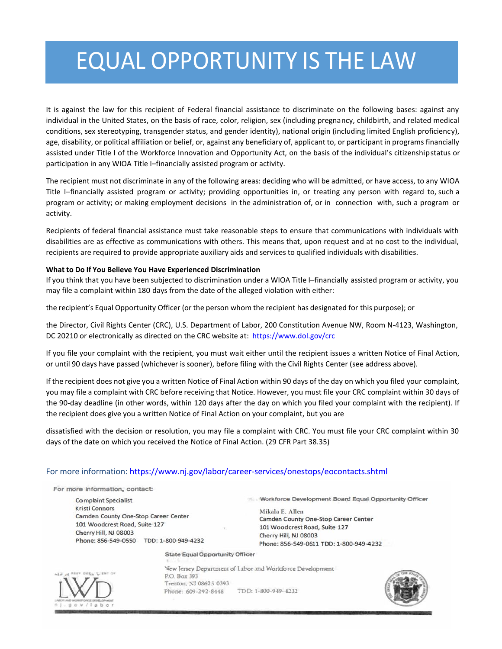## EQUAL OPPORTUNITY IS THE LAW

It is against the law for this recipient of Federal financial assistance to discriminate on the following bases: against any individual in the United States, on the basis of race, color, religion, sex (including pregnancy, childbirth, and related medical conditions, sex stereotyping, transgender status, and gender identity), national origin (including limited English proficiency), age, disability, or political affiliation or belief, or, against any beneficiary of, applicant to, or participant in programs financially assisted under Title I of the Workforce Innovation and Opportunity Act, on the basis of the individual's citizenshipstatus or participation in any WIOA Title I-financially assisted program or activity.

The recipient must not discriminate in any of the following areas: deciding who will be admitted, or have access, to any WIOA Title I–financially assisted program or activity; providing opportunities in, or treating any person with regard to, such a program or activity; or making employment decisions in the administration of, or in connection with, such a program or activity.

Recipients of federal financial assistance must take reasonable steps to ensure that communications with individuals with disabilities are as effective as communications with others. This means that, upon request and at no cost to the individual, recipients are required to provide appropriate auxiliary aids and services to qualified individuals with disabilities.

## **What to Do If You Believe You Have Experienced Discrimination**

If you think that you have been subjected to discrimination under a WIOA Title I–financially assisted program or activity, you may file a complaint within 180 days from the date of the alleged violation with either:

the recipient's Equal Opportunity Officer (or the person whom the recipient has designated for this purpose); or

the Director, Civil Rights Center (CRC), U.S. Department of Labor, 200 Constitution Avenue NW, Room N-4123, Washington, DC 20210 or electronically as directed on the CRC website at: https://www.dol.gov/crc

If you file your complaint with the recipient, you must wait either until the recipient issues a written Notice of Final Action, or until 90 days have passed (whichever is sooner), before filing with the Civil Rights Center (see address above).

If the recipient does not give you a written Notice of Final Action within 90 days of the day on which you filed your complaint, you may file a complaint with CRC before receiving that Notice. However, you must file your CRC complaint within 30 days of the 90-day deadline (in other words, within 120 days after the day on which you filed your complaint with the recipient). If the recipient does give you a written Notice of Final Action on your complaint, but you are

dissatisfied with the decision or resolution, you may file a complaint with CRC. You must file your CRC complaint within 30 days of the date on which you received the Notice of Final Action. (29 CFR Part 38.35)

## For more information: https://www.nj.gov/labor/career-services/onestops/eocontacts.shtml

For more information, contact:

**Complaint Specialist Kristi Connors** Camden County One-Stop Career Center 101 Woodcrest Road, Suite 127 Cherry Hill, NJ 08003 Phone: 856-549-0550 TDD: 1-800-949-4232 Workforce Development Board Equal Opportunity Officer

Mikala E. Allen Camden County One-Stop Career Center 101 Woodcrest Road, Suite 127 Cherry Hill, NJ 08003 Phone: 856-549-0611 TDD: 1-800-949-4232

**State Equal Opportunity Officer** 



New Jersey Department of Labor and Workforce Development P.O. Box 393 Trenton, NJ 08625 0393 Phone: 609-292-8448 TDD: 1-800-949--0232